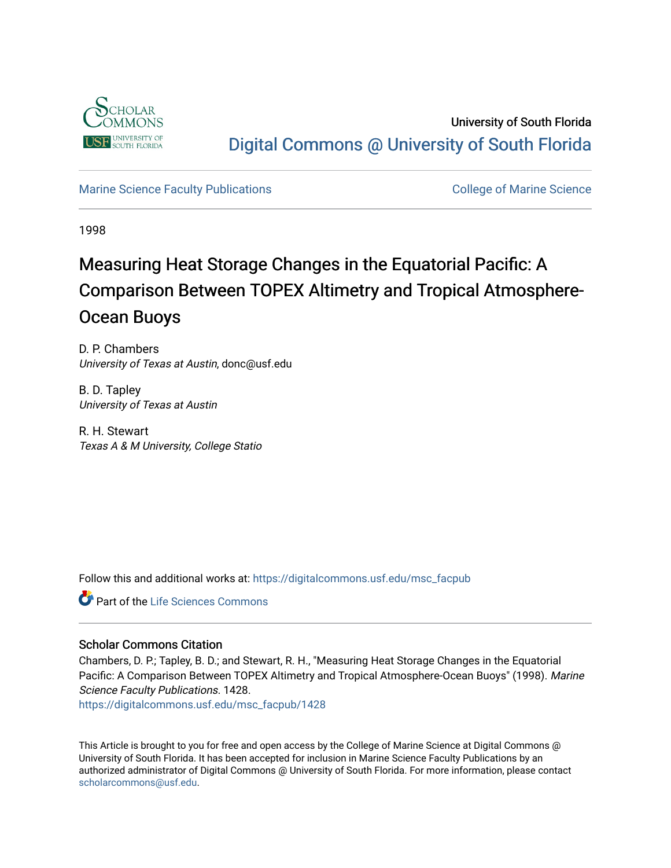

University of South Florida [Digital Commons @ University of South Florida](https://digitalcommons.usf.edu/) 

## [Marine Science Faculty Publications](https://digitalcommons.usf.edu/msc_facpub) **College of Marine Science** College of Marine Science

1998

# Measuring Heat Storage Changes in the Equatorial Pacific: A Comparison Between TOPEX Altimetry and Tropical Atmosphere-Ocean Buoys

D. P. Chambers University of Texas at Austin, donc@usf.edu

B. D. Tapley University of Texas at Austin

R. H. Stewart Texas A & M University, College Statio

Follow this and additional works at: [https://digitalcommons.usf.edu/msc\\_facpub](https://digitalcommons.usf.edu/msc_facpub?utm_source=digitalcommons.usf.edu%2Fmsc_facpub%2F1428&utm_medium=PDF&utm_campaign=PDFCoverPages) 

Part of the [Life Sciences Commons](http://network.bepress.com/hgg/discipline/1016?utm_source=digitalcommons.usf.edu%2Fmsc_facpub%2F1428&utm_medium=PDF&utm_campaign=PDFCoverPages) 

# Scholar Commons Citation

Chambers, D. P.; Tapley, B. D.; and Stewart, R. H., "Measuring Heat Storage Changes in the Equatorial Pacific: A Comparison Between TOPEX Altimetry and Tropical Atmosphere-Ocean Buoys" (1998). Marine Science Faculty Publications. 1428.

[https://digitalcommons.usf.edu/msc\\_facpub/1428](https://digitalcommons.usf.edu/msc_facpub/1428?utm_source=digitalcommons.usf.edu%2Fmsc_facpub%2F1428&utm_medium=PDF&utm_campaign=PDFCoverPages) 

This Article is brought to you for free and open access by the College of Marine Science at Digital Commons @ University of South Florida. It has been accepted for inclusion in Marine Science Faculty Publications by an authorized administrator of Digital Commons @ University of South Florida. For more information, please contact [scholarcommons@usf.edu.](mailto:scholarcommons@usf.edu)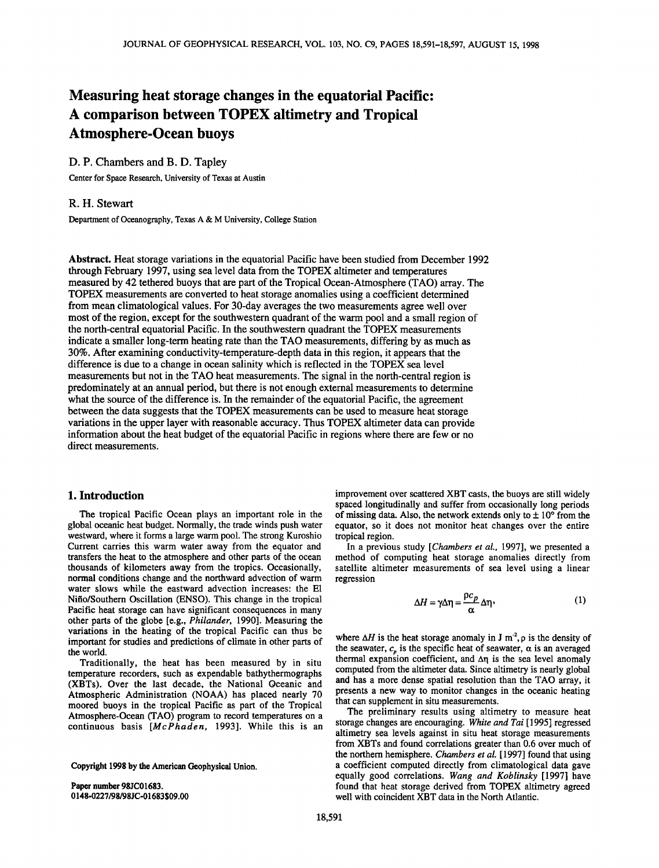# **Measuring heat storage changes in the equatorial Pacific: A comparison between TOPEX altimetry and Tropical Atmosphere-Ocean buoys**

### **D. P. Chambers and B. D. Tapley**

**Center for Space Research, University of Texas at Austin** 

#### **R. H. Stewart**

**Department of Oceanography, Texas A & M University, College Station** 

**Abstract. Heat storage variations in the equatorial Pacific have been studied from December 1992 through February 1997, using sea level data from the TOPEX altimeter and temperatures measured by 42 tethered buoys that are part of the Tropical Ocean-Atmosphere (TAO) array. The TOPEX measurements are converted to heat storage anomalies using a coefficient determined from mean climatological values. For 30-day averages the two measurements agree well over most of the region, except for the southwestern quadrant of the warm pool and a small region of**  the north-central equatorial Pacific. In the southwestern quadrant the TOPEX measurements **indicate a smaller long-term heating rate than the TAO measurements, differing by as much as 30%. After examining conductivity-temperature-depth data in this region, it appears that the difference is due to a change in ocean salinity which is reflected in the TOPEX sea level measurements but not in the TAO heat measurements. The signal in the north-central region is predominately at an annual period, but there is not enough external measurements to determine what the source of the difference is. In the remainder of the equatorial Pacific, the agreement between the data suggests that the TOPEX measurements can be used to measure heat storage variations in the upper layer with reasonable accuracy. Thus TOPEX altimeter data can provide information about the heat budget of the equatorial Pacific in regions where there are few or no direct measurements.** 

#### **1. Introduction**

**The tropical Pacific Ocean plays an important role in the global oceanic heat budget. Normally, the trade winds push water westward, where it forms a large warm pool. The strong Kuroshio Current carries this warm water away from the equator and transfers the heat to the atmosphere and other parts of the ocean thousands of kilometers away from the tropics. Occasionally, normal conditions change and the northward advection of warm water slows while the eastward advection increases: the E1 Nifio/Southern Oscillation (ENSO). This change in the tropical Pacific heat storage can have significant consequences in many other parts of the globe [e.g., Philander, 1990]. Measuring the variations in the heating of the tropical Pacific can thus be important for studies and predictions of climate in other parts of the world.** 

**Traditionally, the heat has been measured by in situ temperature recorders, such as expendable bathythermographs (XBTs). Over the last decade, the National Oceanic and Atmospheric Administration (NOAA) has placed nearly 70 moored buoys in the tropical Pacific as part of the Tropical Atmosphere-Ocean (TAO) program to record temperatures on a continuous basis [McPhaden, 1993]. While this is an** 

**Copyright 1998 by the American Geophysical Union.** 

**Paper number 98JC01683. 0148-0227/98/98JC-01683509.00** 

**improvement over scattered XBT casts, the buoys are still widely spaced longitudinally and suffer from occasionally long periods**  of missing data. Also, the network extends only to  $\pm 10^{\circ}$  from the **equator, so it does not monitor heat changes over the entire tropical region.** 

**In a previous study [Chambers et al., 1997], we presented a method of computing heat storage anomalies directly from satellite altimeter measurements of sea level using a linear regression** 

$$
\Delta H = \gamma \Delta \eta = \frac{\rho c_p}{\alpha} \Delta \eta, \qquad (1)
$$

where  $\Delta H$  is the heat storage anomaly in J m<sup>2</sup>,  $\rho$  is the density of the seawater,  $c_n$  is the specific heat of seawater,  $\alpha$  is an averaged thermal expansion coefficient, and  $\Delta \eta$  is the sea level anomaly **computed from the altimeter data. Since altimetry is nearly global and has a more dense spatial resolution than the TAO array, it presents a new way to monitor changes in the oceanic heating that can supplement in situ measurements.** 

**The preliminary results using altimetry to measure heat storage changes are encouraging. White and Tai [1995] regressed altimetry sea levels against in situ heat storage measurements from XBTs and found correlations greater than 0.6 over much of the northern hemisphere. Chambers et al. [ 1997] found that using a coefficient computed directly from climatological data gave equally good correlations. Wang and Koblinsky [1997] have found that heat storage derived from TOPEX altimetry agreed well with coincident XBT data in the North Atlantic.**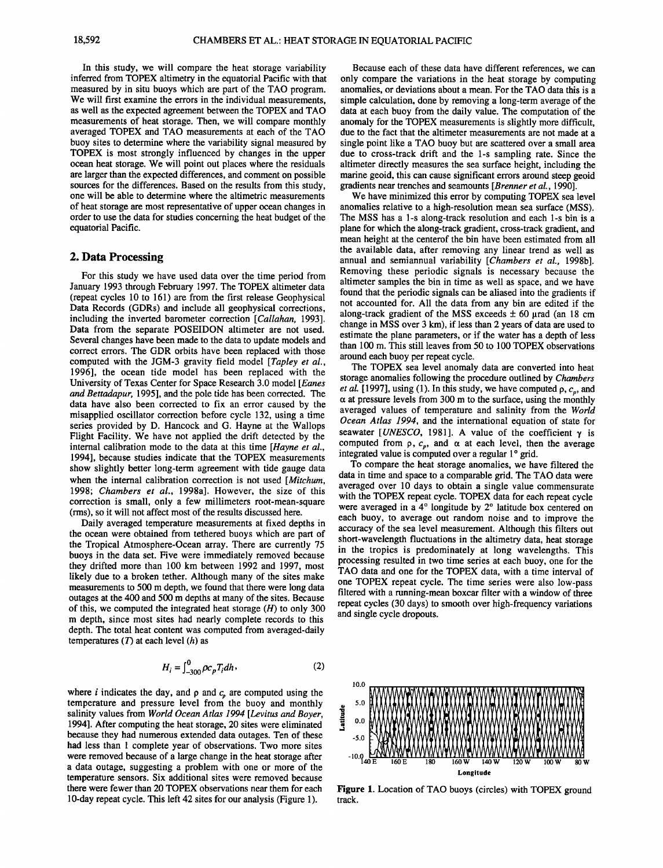**In this study, we will compare the heat storage variability inferred from TOPEX altimetry in the equatorial Pacific with that measured by in situ buoys which are part of the TAO program. We will first examine the errors in the individual measurements, as well as the expected agreement between the TOPEX and TAO measurements of heat storage. Then, we will compare monthly averaged TOPEX and TAO measurements at each of the TAO buoy sites to determine where the variability signal measured by TOPEX is most strongly influenced by changes in the upper ocean heat storage. We will point out places where the residuals are larger than the expected differences, and comment on possible sources for the differences. Based on the results from this study, one will be able to determine where the altimetric measurements of heat storage are most representative of upper ocean changes in order to use the data for studies concerning the heat budget of the equatorial Pacific.** 

#### **2. Data Processing**

**For this study we have used data over the time period from January 1993 through February 1997. The TOPEX altimeter data (repeat cycles 10 to 161) are from the first release Geophysical Data Records (GDRs) and include all geophysical corrections, including the inverted barometer correction [Callahan, 1993]. Data from the separate POSEIDON altimeter are not used. Several changes have been made to the data to update models and correct errors. The GDR orbits have been replaced with those computed with the JGM-3 gravity field model [Tapley et al., 1996], the ocean tide model has been replaced with the University of Texas Center for Space Research 3.0 model [Eanes and Bettadapur, 1995], and the pole tide has been corrected. The data have also been corrected to fix an error caused by the misapplied oscillator correction before cycle 132, using a time series provided by D. Hancock and G. Hayne at the Wallops Flight Facility. We have not applied the drift detected by the internal calibration mode to the data at this time [Hayne et al., 1994], because studies indicate that the TOPEX measurements show slightly better long-term agreement with tide gauge data**  when the internal calibration correction is not used [*Mitchum*, **1998; Chambers et al., 1998a]. However, the size of this correction is small, only a few millimeters root-mean-square (rms), so it will not affect most of the results discussed here.** 

**Daily averaged temperature measurements at fixed depths in the ocean were obtained from tethered buoys which are part of the Tropical Atmosphere-Ocean array. There are currently 75 buoys in the data set. Five were immediately removed because they drifted more than 100 km between 1992 and 1997, most likely due to a broken tether. Although many of the sites make measurements to 500 m depth, we found that there were long data outages at the 400 and 500 m depths at many of the sites. Because of this, we computed the integrated heat storage (H) to only 300 m depth, since most sites had nearly complete records to this depth. The total heat content was computed from averaged-daily temperatures (T) at each level (h) as** 

$$
H_i = \int_{-300}^{0} \rho c_p T_i dh \,, \tag{2}
$$

where  $i$  indicates the day, and  $\rho$  and  $c_n$  are computed using the **temperature and pressure level from the buoy and monthly salinity values from World Ocean Atlas 1994 [Levitus and Boyer, 1994]. After computing the heat storage, 20 sites were eliminated because they had numerous extended data outages. Ten of these had less than 1 complete year of observations. Two more sites were removed because of a large change in the heat storage after a data outage, suggesting a problem with one or more of the temperature sensors. Six additional sites were removed because there were fewer than 20 TOPEX observations near them for each 1 O-day repeat cycle. This left 42 sites for our analysis (Figure 1).** 

**Because each of these data have different references, we can only compare the variations in the heat storage by computing anomalies, or deviations about a mean. For the TAO data this is a simple calculation, done by removing a long-term average of the data at each buoy from the daily value. The computation of the**  anomaly for the TOPEX measurements is slightly more difficult, **due to the fact that the altimeter measurements are not made at a single point like a TAO buoy but are scattered over a small area due to cross-track drift and the 1-s sampling rate. Since the altimeter directly measures the sea surface height, including the marine geoid, this can cause significant errors around steep geoid gradients near trenches and seamounts [Brenner et al., 1990].** 

**We have minimized this error by computing TOPEX sea level anomalies relative to a high-resolution mean sea surface (MSS). The MSS has a 1-s along-track resolution and each 1-s bin is a plane for which the along-track gradient, cross-track gradient, and mean height at the centerof the bin have been estimated from all the available data, after removing any linear trend as well as annual and semiannual variability [Chambers et al., 1998b]. Removing these periodic signals is necessary because the altimeter samples the bin in time as well as space, and we have found that the periodic signals can be aliased into the gradients if not accounted for. All the data from any bin are edited if the**  along-track gradient of the MSS exceeds  $\pm$  60 µrad (an 18 cm **change in MSS over 3 km), if less than 2 years of data are used to estimate the plane parameters, or if the water has a depth of less than 100 m. This still leaves from 50 to 100 TOPEX observations around each buoy per repeat cycle.** 

**The TOPEX sea level anomaly data are converted into heat storage anomalies following the procedure outlined by Chambers**  *et al.* [1997], using (1). In this study, we have computed  $\rho$ ,  $c_p$ , and  $\alpha$  at pressure levels from 300 m to the surface, using the monthly **averaged values of temperature and salinity from the World Ocean Atlas 1994, and the international equation of state for**  seawater [*UNESCO*, 1981]. A value of the coefficient  $\gamma$  is computed from  $\rho$ ,  $c_p$ , and  $\alpha$  at each level, then the average integrated value is computed over a regular 1° grid.

**To compare the heat storage anomalies, we have filtered the data in time and space to a comparable grid. The TAO data were averaged over 10 days to obtain a single value commensurate with the TOPEX repeat cycle. TOPEX data for each repeat cycle**  were averaged in a 4° longitude by 2° latitude box centered on **each buoy, to average out random noise and to improve the accuracy of the sea level measurement. Although this filters out short-wavelength fluctuations in the altimetry data, heat storage in the tropics is predominately at long wavelengths. This processing resulted in two time series at each buoy, one for the TAO data and one for the TOPEX data, with a time interval of one TOPEX repeat cycle. The time series were also low-pass filtered with a running-mean boxcar filter with a window of three repeat cycles (30 days) to smooth over high-frequency variations and single cycle dropouts.** 



**Figure 1. Location of TAO buoys (circles) with TOPEX ground track.**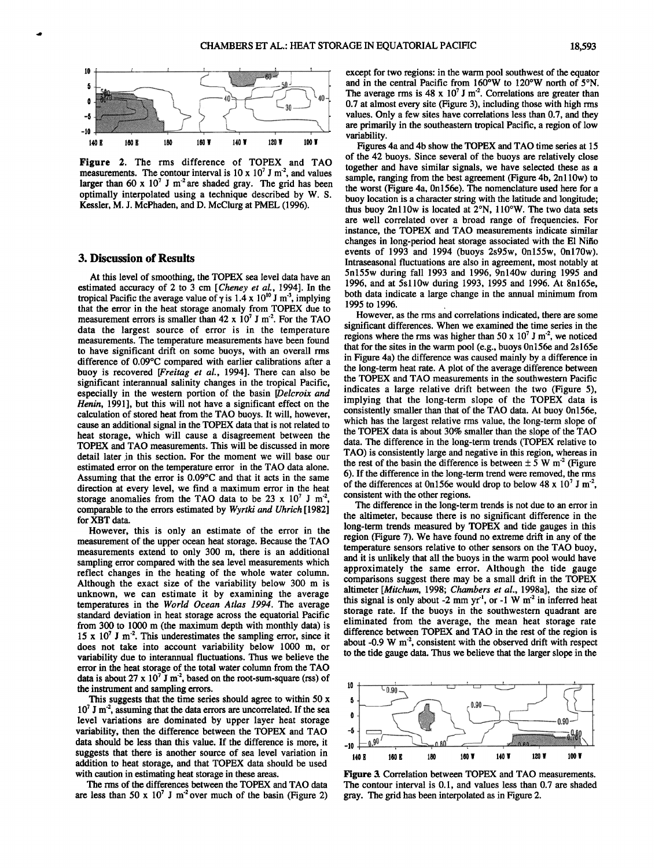

**Figure 2. The rms difference of TOPEX and TAO**  measurements. The contour interval is  $10 \times 10^7$  J m<sup>-2</sup>, and values larger than 60 x 10<sup>7</sup> J m<sup>-2</sup> are shaded gray. The grid has been **optimally interpolated using a technique described by W. S. Kessler, M. J. McPhaden, and D. McClurg at PMEL (1996).** 

#### **3. Discussion of Results**

**At this level of smoothing, the TOPEX sea level data have an estimated accuracy of 2 to 3 cm [Cheney et al., 1994]. In the tropical Pacific the average value of**  $\gamma$  **is 1.4 x 10<sup>10</sup> J m<sup>3</sup>, implying that the error in the heat storage anomaly from TOPEX due to**  measurement errors is smaller than 42 x 10<sup>7</sup> J m<sup>-2</sup>. For the TAO **data the largest source of error is in the temperature measurements. The temperature measurements have been found to have significant drift on some buoys, with an overall rms**  difference of 0.09°C compared with earlier calibrations after a **buoy is recovered [Freitag et al., 1994]. There can also be significant interannual salinity changes in the tropical Pacific, especially in the western portion of the basin [Delcroix and Henin, 1991], but this will not have a significant effect on the calculation of stored heat from the TAO buoys. It will, however, cause an additional signal in the TOPEX data that is not related to heat storage, which will cause a disagreement between the TOPEX and TAO measurements. This will be discussed in more**  detail later in this section. For the moment we will base our **estimated error on the temperature error in the TAO data alone.**  Assuming that the error is 0.09°C and that it acts in the same **direction at every level, we find a maximum error in the heat**  storage anomalies from the TAO data to be  $23 \times 10^7$  J m<sup>-2</sup>, **comparable to the errors estimated by Wyrtki and Uhrich[1982] for XBT data.** 

**However, this is only an estimate of the error in the measurement of the upper ocean heat storage. Because the TAO measurements extend to only 300 m, there is an additional sampling error compared with the sea level measurements which reflect changes in the heating of the whole water column. Although the exact size of the variability below 300 m is unknown, we can estimate it by examining the average temperatures in the World Ocean Atlas 1994. The average standard deviation in heat storage across the equatorial Pacific from 300 to 1000 m (the maximum depth with monthly data) is**  15 x  $10^7$  J m<sup>-2</sup>. This underestimates the sampling error, since it **does not take into account variability below 1000 m, or variability due to interannual fluctuations. Thus we believe the error in the heat storage of the total water column from the TAO**  data is about  $27 \times 10^7$  J m<sup>-2</sup>, based on the root-sum-square (rss) of **the instrument and sampling errors.** 

**This suggests that the time series should agree to within 50 x 107 J m '2, assuming that the data errors are uncorrelated. If the sea level variations are dominated by upper layer heat storage variability, then the difference between the TOPEX and TAO data should be less than this value. If the difference is more, it suggests that there is another source of sea level variation in addition to heat storage, and that TOPEX data should be used with caution in estimating heat storage in these areas.** 

**The rms of the differences between the TOPEX and TAO data**  are less than  $50 \times 10^7$  J m<sup>2</sup> over much of the basin (Figure 2) **except for two regions: in the warm pool southwest of the equator**  and in the central Pacific from 160°W to 120°W north of 5°N. The average rms is  $48 \times 10^7$  J m<sup>-2</sup>. Correlations are greater than **0.7 at almost every site (Figure 3), including those with high rms values. Only a few sites have correlations less than 0.7, and they are primarily in the southeastern tropical Pacific, a region of low variability.** 

**Figures 4a and 4b show the TOPEX and TAO time series at 15 of the 42 buoys. Since several of the buoys are relatively close together and have similar signals, we have selected these as a sample, ranging from the best agreement (Figure 4b, 2n110w) to the worst (Figure 4a, 0n156e). The nomenclature used here for a buoy location is a character string with the latitude and longitude; thus buoy 2n110w is located at 2øN, 110øW. The two data sets are well correlated over a broad range of frequencies. For instance, the TOPEX and TAO measurements indicate similar changes in long-period heat storage associated with the E1 Nifio events of 1993 and 1994 (buoys 2s95w, 0n155w, 0nl70w). Intraseasonal fluctuations are also in agreement, most notably at 5n155w during fall 1993 and 1996, 9n140w during 1995 and 1996, and at 5sl10w during 1993, 1995 and 1996. At 8n165e, both data indicate a large change in the annual minimum from 1995 to 1996.** 

However, as the rms and correlations indicated, there are some **significant differences. When we examined the time series in the**  regions where the rms was higher than 50 x  $10^7$  J m<sup>2</sup>, we noticed **that for the sites in the warm pool (e.g., buoys 0n156e and 2s165e in Figure 4a) the difference was caused mainly by a difference in the long-term heat rate. A plot of the average difference between the TOPEX and TAO measurements in the southwestern Pacific indicates a large relative drift between the two (Figure 5), implying that the long-term slope of the TOPEX data is consistently smaller than that of the TAO data. At buoy 0n156e, which has the largest relative rms value, the long-term slope of the TOPEX data is about 30% smaller than the slope of the TAO data. The difference in the long-term trends (TOPEX relative to TAO) is consistently large and negative in this region, whereas in**  the rest of the basin the difference is between  $\pm$  5 W m<sup>2</sup> (Figure **6). If the difference in the long-term trend were removed, the rms of the differences at 0n156e would drop to below 48 x 107 J m '2, consistent with the other regions.** 

**The difference in the long-term trends is not due to an error in the altimeter, because there is no significant difference in the long-term trends measured by TOPEX and tide gauges in this region (Figure 7). We have found no extreme drift in any of the temperature sensors relative to other sensors on the TAO buoy, and it is unlikely that all the buoys in the warm pool would have approximately the same error. Although the tide gauge comparisons suggest there may be a small drift in the TOPEX altimeter [Mitchurn, 1998; Chambers et al., 1998a], the size of**  this signal is only about  $-2$  mm yr<sup>1</sup>, or  $-1$  W m<sup>2</sup> in inferred heat **storage rate. If the buoys in the southwestern quadrant are eliminated from the average, the mean heat storage rate difference between TOPEX and TAO in the rest of the region is**  about -0.9 W m<sup>-2</sup>, consistent with the observed drift with respect **to the tide gauge data. Thus we believe that the larger slope in the** 



**Figure 3. Correlation between TOPEX and TAO measurements. The contour interval is 0.1, and values less than 0.7 are shaded gray. The grid has been interpolated as in Figure 2.**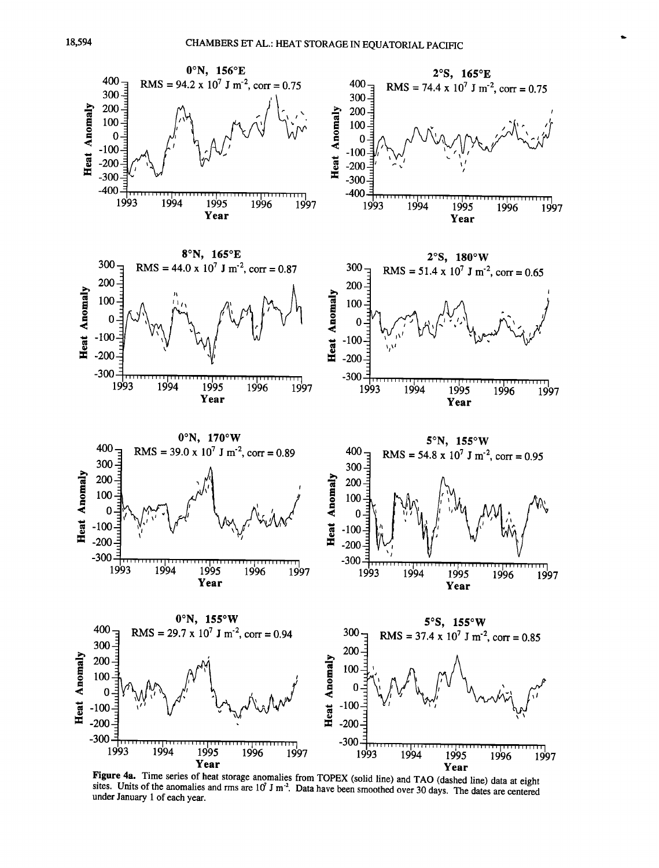

sites. Units of the anomalies and rms are  $10^7$  J m<sup>-2</sup>. Data have been smoothed over 30 days. The dates are centered **under January 1 of each year.**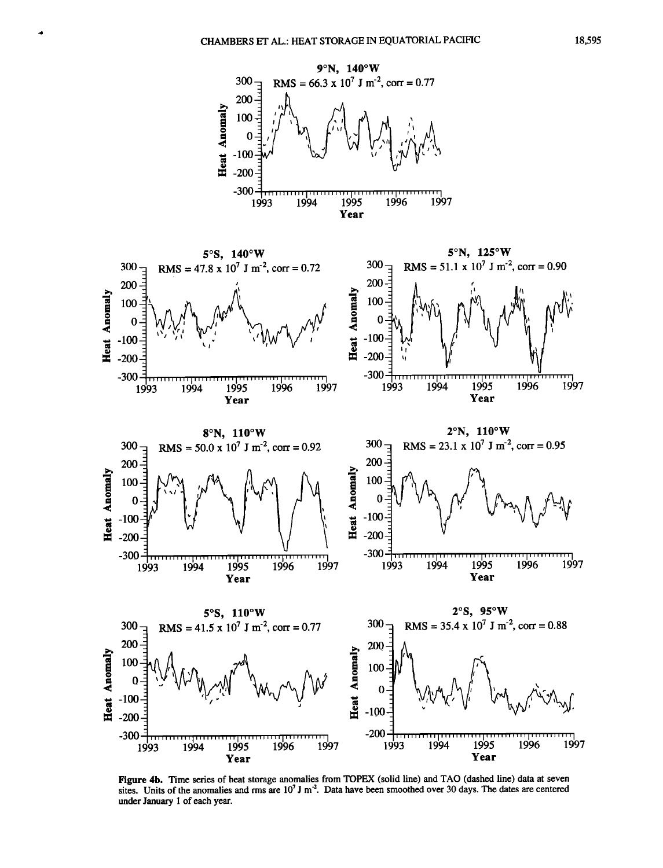$\blacktriangleleft$ 



**Figure 4b. Time series of heat storage anomalies from TOPEX (solid line) and TAO (dashed line) data at seven**  sites. Units of the anomalies and rms are 10<sup>7</sup> J m<sup>-2</sup>. Data have been smoothed over 30 days. The dates are centered **under January 1 of each year.**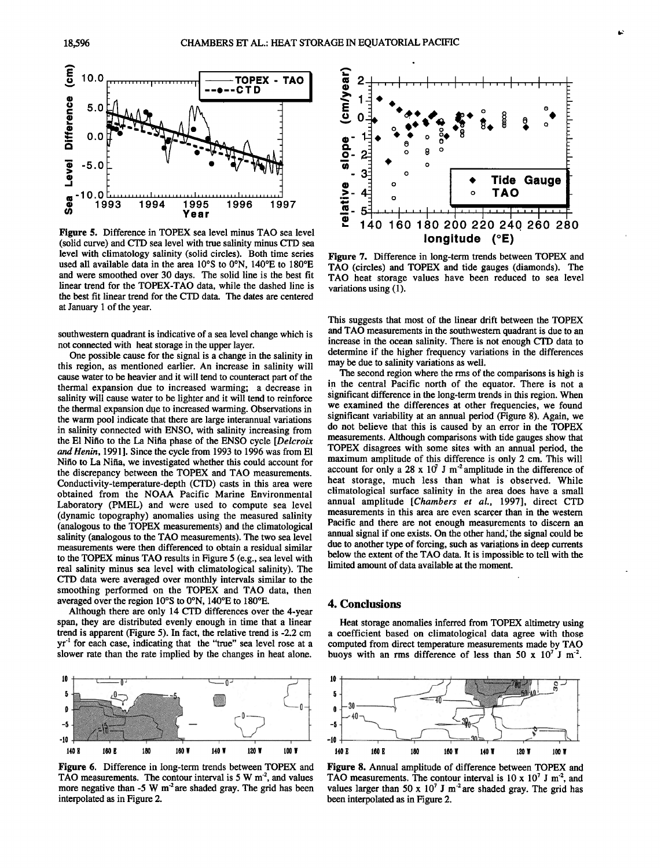

**Figure 5. Difference in TOPEX sea level minus TAO sea level (solid curve) and CTD sea level with true salinity minus CTD sea level with climatology salinity (solid circles). Both time series**  used all available data in the area 10°S to 0°N, 140°E to 180°E **and were smoothed over 30 days. The solid line is the best fit linear trend for the TOPEX-TAO data, while the dashed line is the best fit linear trend for the CTD data. The dates are centered at January 1 of the year.** 

**southwestern quadrant is indicative of a sea level change which is not connected with heat storage in the upper layer.** 

**One possible cause for the signal is a change in the salinity in this region, as mentioned earlier. An increase in salinity will cause water to be heavier and it will tend to counteract part of the thermal expansion due to increased warming; a decrease in salinity will cause water to be lighter and it will tend to reinforce the thermal expansion due to increased warming. Observations in the warm pool indicate that there are large interannual variations in salinity connected with ENSO, with salinity increasing from the E1 Nifio to the La Nifia phase of the ENSO cycle [Delcroix and Henin, 1991]. Since the cycle from.1993 to 1996 was from E1 Nifio to La Nifia, we investigated whether this could account for the discrepancy between the TOPEX and TAO measurements. Conductivity-temperature,depth (CTD) casts in this area were obtained from the NOAA Pacific Marine Environmental Laboratory (PMEL) and were used to compute sea level (dynamic topography) anomalies using the measured salinity (analogous to the TOPEX measurements) and the climatological salinity (analogous to the TAO measurements). The two sea level measurements were then differenced to obtain a residual similar to the TOPEX minus TAO results in Figure 5 (e.g., sea level with real salinity minus sea level with climatological salinity). The CTD data were averaged over monthly intervals similar to the smoothing performed on the TOPEX and TAO data, then**  averaged over the region 10°S to 0°N, 140°E to 180°E.

**Although there are only 14 CTD differences over the 4-year span, they are distributed evenly enough in time that a linear trend is apparent (Figure 5). In fact, the relative trend is -2.2 cm yr 4 for each case, indicating that the "true" sea level rose at a slower rate than the rate implied by the changes in heat alone.** 



**Figure 6. Difference in long-term trends between TOPEX and**  TAO measurements. The contour interval is 5 W m<sup>-2</sup>, and values more negative than -5 W m<sup>-2</sup> are shaded gray. The grid has been **interpolated as in Figure 2.** 



**Figure 7. Difference in long-term trends between TOPEX and TAO (circles) and TOPEX and tide gauges (diamonds). The TAO heat storage values have been reduced to sea level variations using (1).** 

**This suggests that most of the linear drift between the TOPEX and TAO measurements in the southwestern quadrant is due to an increase in the ocean salinity. There is not enough CTD data to determine if the higher frequency variations in the differences may be due to salinity variations as well.** 

**The second region where the rms of the comparisons is high is in the central Pacific north of the equator. There is not a significant difference in the long-term trends in this region. When we examined the differences at other frequencies, we found significant variability at an annual period (Figure 8). Again, we do not believe that this is caused by an error in the TOPEX measurements. Although comparisons with tide gauges show that TOPEX disagrees with some sites with an annual period, the maximum amplitude of this difference is only 2 cm. This will**  account for only a 28 x  $10<sup>7</sup>$  J m<sup>-2</sup> amplitude in the difference of **heat storage, much less than what is observed. While climatological surface salinity in the area does have a small**  annual amplitude [Chambers et al., 1997], direct CTD **measurements in this area are even scarcer than in the western Pacific and there are not enough measurements to discern an annual signal if one exists. On the other hand; the signal could be**  due to another type of forcing, such as variations in deep currents **below the extent of the TAO data. It is impossible to tell with the limited amount of data available at the moment.** 

#### **4. Conclusions**

**Heat storage anomalies inferred from TOPEX altimetry using a coefficient based on climatological data agree with those computed from direct temperature measurements made by TAO**  buoys with an rms difference of less than 50 x  $10^7$  J m<sup>-2</sup>.



**Figure 8. Annual amplitude of difference between TOPEX and**  TAO measurements. The contour interval is  $10 \times 10^7$  J m<sup>-2</sup>, and values larger than 50 x  $10^7$  J m<sup>-2</sup> are shaded gray. The grid has **been interpolated as in Figure 2.**